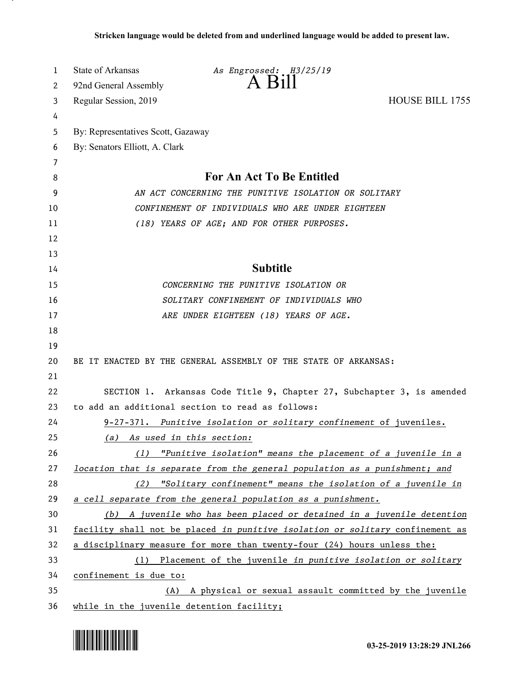| 1  | <b>State of Arkansas</b>                             | As Engrossed: H3/25/19                                                        |                 |
|----|------------------------------------------------------|-------------------------------------------------------------------------------|-----------------|
| 2  | 92nd General Assembly                                | $A$ B <sub>1</sub> $\parallel$                                                |                 |
| 3  | Regular Session, 2019                                |                                                                               | HOUSE BILL 1755 |
| 4  |                                                      |                                                                               |                 |
| 5  | By: Representatives Scott, Gazaway                   |                                                                               |                 |
| 6  | By: Senators Elliott, A. Clark                       |                                                                               |                 |
| 7  |                                                      |                                                                               |                 |
| 8  |                                                      | <b>For An Act To Be Entitled</b>                                              |                 |
| 9  | AN ACT CONCERNING THE PUNITIVE ISOLATION OR SOLITARY |                                                                               |                 |
| 10 |                                                      | CONFINEMENT OF INDIVIDUALS WHO ARE UNDER EIGHTEEN                             |                 |
| 11 |                                                      | (18) YEARS OF AGE; AND FOR OTHER PURPOSES.                                    |                 |
| 12 |                                                      |                                                                               |                 |
| 13 |                                                      |                                                                               |                 |
| 14 |                                                      | <b>Subtitle</b>                                                               |                 |
| 15 |                                                      | CONCERNING THE PUNITIVE ISOLATION OR                                          |                 |
| 16 |                                                      | SOLITARY CONFINEMENT OF INDIVIDUALS WHO                                       |                 |
| 17 |                                                      | ARE UNDER EIGHTEEN (18) YEARS OF AGE.                                         |                 |
| 18 |                                                      |                                                                               |                 |
| 19 |                                                      |                                                                               |                 |
| 20 |                                                      | BE IT ENACTED BY THE GENERAL ASSEMBLY OF THE STATE OF ARKANSAS:               |                 |
| 21 |                                                      |                                                                               |                 |
| 22 |                                                      | SECTION 1. Arkansas Code Title 9, Chapter 27, Subchapter 3, is amended        |                 |
| 23 |                                                      | to add an additional section to read as follows:                              |                 |
| 24 |                                                      | 9-27-371. Punitive isolation or solitary confinement of juveniles.            |                 |
| 25 | (a) As used in this section:                         |                                                                               |                 |
| 26 | (1)                                                  | "Punitive isolation" means the placement of a juvenile in a                   |                 |
| 27 |                                                      | location that is separate from the general population as a punishment; and    |                 |
| 28 |                                                      | (2) "Solitary confinement" means the isolation of a juvenile in               |                 |
| 29 |                                                      | a cell separate from the general population as a punishment.                  |                 |
| 30 |                                                      | (b) A juvenile who has been placed or detained in a juvenile detention        |                 |
| 31 |                                                      | facility shall not be placed in punitive isolation or solitary confinement as |                 |
| 32 |                                                      | a disciplinary measure for more than twenty-four (24) hours unless the:       |                 |
| 33 |                                                      | (1) Placement of the juvenile in punitive isolation or solitary               |                 |
| 34 | confinement is due to:                               |                                                                               |                 |
| 35 |                                                      | (A) A physical or sexual assault committed by the juvenile                    |                 |
| 36 | while in the juvenile detention facility;            |                                                                               |                 |

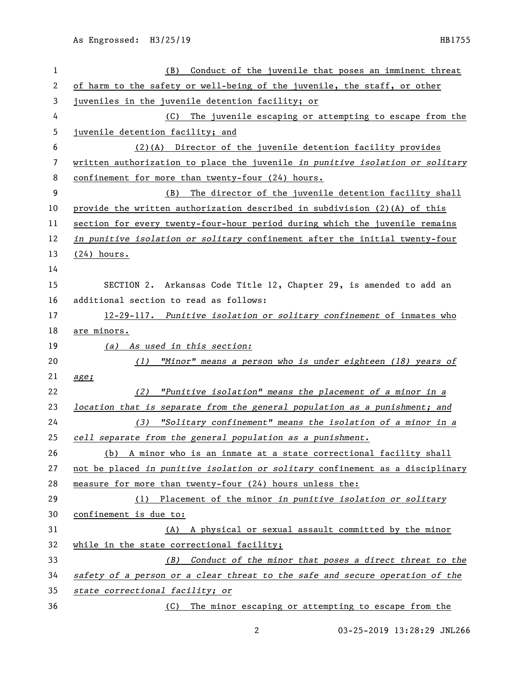| 1                        | Conduct of the juvenile that poses an imminent threat<br>(B)                  |
|--------------------------|-------------------------------------------------------------------------------|
| 2                        | of harm to the safety or well-being of the juvenile, the staff, or other      |
| 3                        | juveniles in the juvenile detention facility; or                              |
| 4                        | The juvenile escaping or attempting to escape from the<br>(C)                 |
| 5                        | juvenile detention facility; and                                              |
| 6                        | (2)(A) Director of the juvenile detention facility provides                   |
| $\overline{\phantom{a}}$ | written authorization to place the juvenile in punitive isolation or solitary |
| 8                        | confinement for more than twenty-four (24) hours.                             |
| 9                        | The director of the juvenile detention facility shall<br>(B)                  |
| 10                       | provide the written authorization described in subdivision (2)(A) of this     |
| 11                       | section for every twenty-four-hour period during which the juvenile remains   |
| 12                       | in punitive isolation or solitary confinement after the initial twenty-four   |
| 13                       | $(24)$ hours.                                                                 |
| 14                       |                                                                               |
| 15                       | SECTION 2. Arkansas Code Title 12, Chapter 29, is amended to add an           |
| 16                       | additional section to read as follows:                                        |
| 17                       | 12-29-117. Punitive isolation or solitary confinement of inmates who          |
| 18                       | <u>are minors.</u>                                                            |
| 19                       | (a) As used in this section:                                                  |
| 20                       | $(1)$ "Minor" means a person who is under eighteen (18) years of              |
| 21                       | age;                                                                          |
| 22                       | "Punitive isolation" means the placement of a minor in a<br>(2)               |
| 23                       | location that is separate from the general population as a punishment; and    |
| 24                       | (3) "Solitary confinement" means the isolation of a minor in a                |
| 25                       | cell separate from the general population as a punishment.                    |
| 26                       | (b) A minor who is an inmate at a state correctional facility shall           |
| 27                       | not be placed in punitive isolation or solitary confinement as a disciplinary |
| 28                       | measure for more than twenty-four (24) hours unless the:                      |
| 29                       | Placement of the minor in punitive isolation or solitary<br>(1)               |
| 30                       | confinement is due to:                                                        |
| 31                       | (A) A physical or sexual assault committed by the minor                       |
| 32                       | while in the state correctional facility;                                     |
| 33                       | Conduct of the minor that poses a direct threat to the<br>(B)                 |
| 34                       | safety of a person or a clear threat to the safe and secure operation of the  |
| 35                       | state correctional facility; or                                               |
| 36                       | (C) The minor escaping or attempting to escape from the                       |

03-25-2019 13:28:29 JNL266